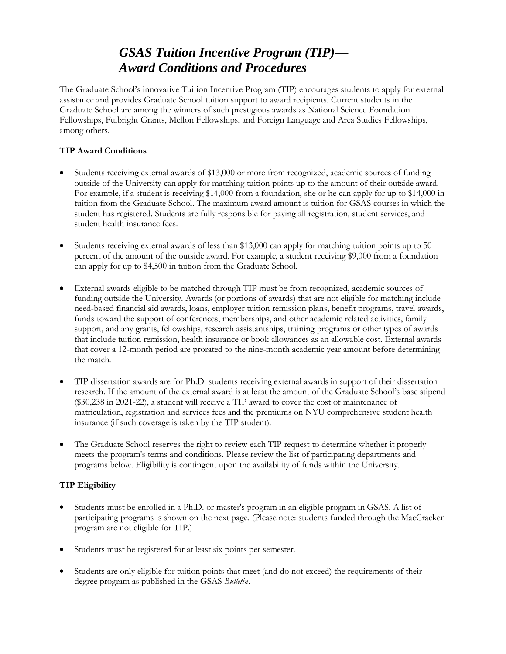# *GSAS Tuition Incentive Program (TIP)— Award Conditions and Procedures*

The Graduate School's innovative Tuition Incentive Program (TIP) encourages students to apply for external assistance and provides Graduate School tuition support to award recipients. Current students in the Graduate School are among the winners of such prestigious awards as National Science Foundation Fellowships, Fulbright Grants, Mellon Fellowships, and Foreign Language and Area Studies Fellowships, among others.

#### **TIP Award Conditions**

- Students receiving external awards of \$13,000 or more from recognized, academic sources of funding outside of the University can apply for matching tuition points up to the amount of their outside award. For example, if a student is receiving \$14,000 from a foundation, she or he can apply for up to \$14,000 in tuition from the Graduate School. The maximum award amount is tuition for GSAS courses in which the student has registered. Students are fully responsible for paying all registration, student services, and student health insurance fees.
- Students receiving external awards of less than \$13,000 can apply for matching tuition points up to 50 percent of the amount of the outside award. For example, a student receiving \$9,000 from a foundation can apply for up to \$4,500 in tuition from the Graduate School.
- External awards eligible to be matched through TIP must be from recognized, academic sources of funding outside the University. Awards (or portions of awards) that are not eligible for matching include need-based financial aid awards, loans, employer tuition remission plans, benefit programs, travel awards, funds toward the support of conferences, memberships, and other academic related activities, family support, and any grants, fellowships, research assistantships, training programs or other types of awards that include tuition remission, health insurance or book allowances as an allowable cost. External awards that cover a 12-month period are prorated to the nine-month academic year amount before determining the match.
- TIP dissertation awards are for Ph.D. students receiving external awards in support of their dissertation research. If the amount of the external award is at least the amount of the Graduate School's base stipend (\$30,238 in 2021-22), a student will receive a TIP award to cover the cost of maintenance of matriculation, registration and services fees and the premiums on NYU comprehensive student health insurance (if such coverage is taken by the TIP student).
- The Graduate School reserves the right to review each TIP request to determine whether it properly meets the program's terms and conditions. Please review the list of participating departments and programs below. Eligibility is contingent upon the availability of funds within the University.

## **TIP Eligibility**

- Students must be enrolled in a Ph.D. or master's program in an eligible program in GSAS. A list of participating programs is shown on the next page. (Please note: students funded through the MacCracken program are not eligible for TIP.)
- Students must be registered for at least six points per semester.
- Students are only eligible for tuition points that meet (and do not exceed) the requirements of their degree program as published in the GSAS *Bulletin*.